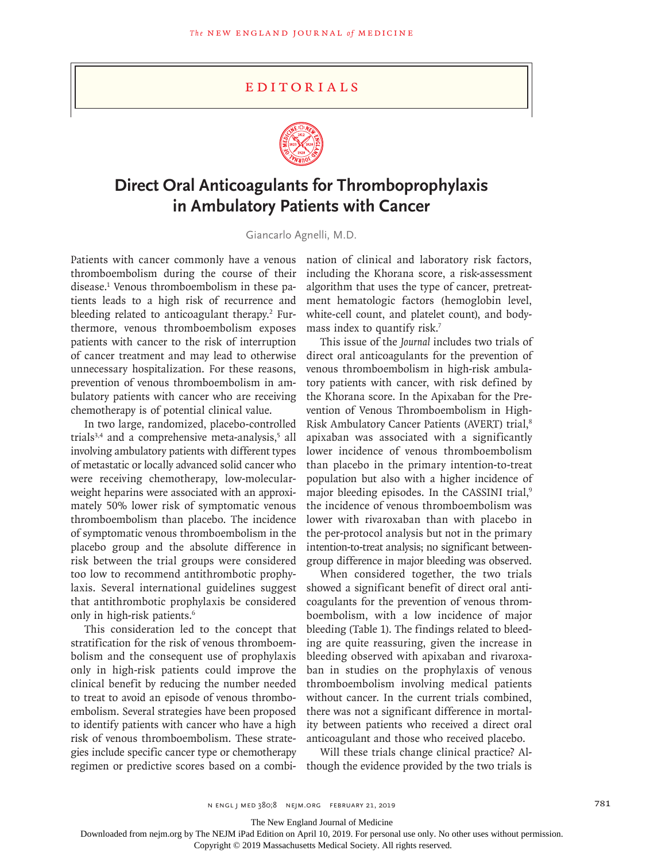## **EDITORIALS**



## **Direct Oral Anticoagulants for Thromboprophylaxis in Ambulatory Patients with Cancer**

Giancarlo Agnelli, M.D.

Patients with cancer commonly have a venous thromboembolism during the course of their disease.1 Venous thromboembolism in these patients leads to a high risk of recurrence and bleeding related to anticoagulant therapy.<sup>2</sup> Furthermore, venous thromboembolism exposes patients with cancer to the risk of interruption of cancer treatment and may lead to otherwise unnecessary hospitalization. For these reasons, prevention of venous thromboembolism in ambulatory patients with cancer who are receiving chemotherapy is of potential clinical value.

In two large, randomized, placebo-controlled trials<sup>3,4</sup> and a comprehensive meta-analysis,<sup>5</sup> all involving ambulatory patients with different types of metastatic or locally advanced solid cancer who were receiving chemotherapy, low-molecularweight heparins were associated with an approximately 50% lower risk of symptomatic venous thromboembolism than placebo. The incidence of symptomatic venous thromboembolism in the placebo group and the absolute difference in risk between the trial groups were considered too low to recommend antithrombotic prophylaxis. Several international guidelines suggest that antithrombotic prophylaxis be considered only in high-risk patients.6

This consideration led to the concept that stratification for the risk of venous thromboembolism and the consequent use of prophylaxis only in high-risk patients could improve the clinical benefit by reducing the number needed to treat to avoid an episode of venous thromboembolism. Several strategies have been proposed to identify patients with cancer who have a high risk of venous thromboembolism. These strategies include specific cancer type or chemotherapy regimen or predictive scores based on a combi-

nation of clinical and laboratory risk factors, including the Khorana score, a risk-assessment algorithm that uses the type of cancer, pretreatment hematologic factors (hemoglobin level, white-cell count, and platelet count), and bodymass index to quantify risk.7

This issue of the *Journal* includes two trials of direct oral anticoagulants for the prevention of venous thromboembolism in high-risk ambulatory patients with cancer, with risk defined by the Khorana score. In the Apixaban for the Prevention of Venous Thromboembolism in High-Risk Ambulatory Cancer Patients (AVERT) trial,<sup>8</sup> apixaban was associated with a significantly lower incidence of venous thromboembolism than placebo in the primary intention-to-treat population but also with a higher incidence of major bleeding episodes. In the CASSINI trial,<sup>9</sup> the incidence of venous thromboembolism was lower with rivaroxaban than with placebo in the per-protocol analysis but not in the primary intention-to-treat analysis; no significant betweengroup difference in major bleeding was observed.

When considered together, the two trials showed a significant benefit of direct oral anticoagulants for the prevention of venous thromboembolism, with a low incidence of major bleeding (Table 1). The findings related to bleeding are quite reassuring, given the increase in bleeding observed with apixaban and rivaroxaban in studies on the prophylaxis of venous thromboembolism involving medical patients without cancer. In the current trials combined, there was not a significant difference in mortality between patients who received a direct oral anticoagulant and those who received placebo.

Will these trials change clinical practice? Although the evidence provided by the two trials is

The New England Journal of Medicine

Downloaded from nejm.org by The NEJM iPad Edition on April 10, 2019. For personal use only. No other uses without permission.

Copyright © 2019 Massachusetts Medical Society. All rights reserved.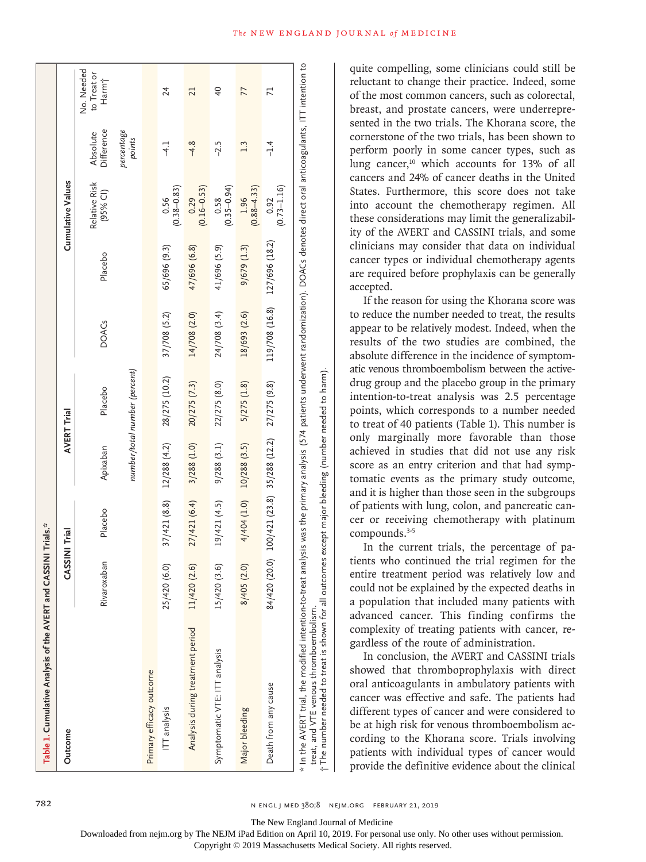| Table 1. Cumulative Analysis of the AVERT and CASSINI Trials.*                                                                                                                                           |                 |                     |                                            |                                                                                                                                      |                |                |                           |                        |                                                |
|----------------------------------------------------------------------------------------------------------------------------------------------------------------------------------------------------------|-----------------|---------------------|--------------------------------------------|--------------------------------------------------------------------------------------------------------------------------------------|----------------|----------------|---------------------------|------------------------|------------------------------------------------|
| Outcome                                                                                                                                                                                                  |                 | <b>ASSINI Trial</b> |                                            | AVERT Trial                                                                                                                          |                |                | <b>Cumulative Values</b>  |                        |                                                |
|                                                                                                                                                                                                          | Rivaroxaban     | Placebo             | Apixaban                                   | Placebo                                                                                                                              | <b>DOACs</b>   | Placebo        | Relative Risk<br>(95% C1) | Difference<br>Absolute | No. Needed<br>to Treat or<br>Harm <sup>+</sup> |
|                                                                                                                                                                                                          |                 |                     |                                            | number/total number (percent)                                                                                                        |                |                |                           | percentage<br>points   |                                                |
| Primary efficacy outcome                                                                                                                                                                                 |                 |                     |                                            |                                                                                                                                      |                |                |                           |                        |                                                |
| ITT analysis                                                                                                                                                                                             | 25/420 (6.0)    | 37/421(8.8)         | 12/288 (4.2)                               | 28/275 (10.2)                                                                                                                        | 37/708 (5.2)   | 65/696 (9.3)   | $(0.38 - 0.83)$<br>0.56   | $\frac{1}{4}$          | 24                                             |
| Analysis during treatment period                                                                                                                                                                         | 11/420 (2.6)    | 27/421 (6.4)        | $3/288$ $(1.0)$                            | $20/275$ $(7.3)$                                                                                                                     | 14/708 (2.0)   | 47/696 (6.8)   | $(0.16 - 0.53)$<br>0.29   | $-4.8$                 | 21                                             |
| Symptomatic VTE: ITT analysis                                                                                                                                                                            | ତ୍<br>15/420 (3 | 19/421(4.5)         | 9/288(3.1)                                 | 22/275 (8.0)                                                                                                                         | 24/708 (3.4)   | 41/696 (5.9)   | $(0.35 - 0.94)$<br>0.58   | $-2.5$                 | $\overline{40}$                                |
| Major bleeding                                                                                                                                                                                           | 8/405 (2.0)     | 4/404 (1.0)         | $10/288$ $(3.5)$                           | $5/275$ $(1.8)$                                                                                                                      | 18/693 (2.6)   | 9/679(1.3)     | $(0.88 - 4.33)$<br>1.96   | 1.3                    | 77                                             |
| Death from any cause                                                                                                                                                                                     |                 |                     | 84/420 (20.0) 100/421 (23.8) 35/288 (12.2) | 27/275 (9.8)                                                                                                                         | 119/708 (16.8) | 127/696 (18.2) | $(0.73 - 1.16)$<br>0.92   | $-1.4$                 | $\mathbf{z}$                                   |
| t The number needed to treat is shown for all outcomes except major bleeding (number needed to harm).<br>* In the AVERT trial, the modified intention-to-treat<br>treat, and VTE venous thromboembolism. |                 |                     |                                            | analysis was the primary analysis (574 patients underwent randomization). DOACs denotes direct oral anticoagulants, ITT intention to |                |                |                           |                        |                                                |

quite compelling, some clinicians could still be reluctant to change their practice. Indeed, some of the most common cancers, such as colorectal, breast, and prostate cancers, were underrepresented in the two trials. The Khorana score, the cornerstone of the two trials, has been shown to perform poorly in some cancer types, such as lung cancer,<sup>10</sup> which accounts for 13% of all cancers and 24% of cancer deaths in the United States. Furthermore, this score does not take into account the chemotherapy regimen. All these considerations may limit the generalizability of the AVERT and CASSINI trials, and some clinicians may consider that data on individual cancer types or individual chemotherapy agents are required before prophylaxis can be generally accepted.

If the reason for using the Khorana score was to reduce the number needed to treat, the results appear to be relatively modest. Indeed, when the results of the two studies are combined, the absolute difference in the incidence of symptomatic venous thromboembolism between the activedrug group and the placebo group in the primary intention-to-treat analysis was 2.5 percentage points, which corresponds to a number needed to treat of 40 patients (Table 1). This number is only marginally more favorable than those achieved in studies that did not use any risk score as an entry criterion and that had symptomatic events as the primary study outcome, and it is higher than those seen in the subgroups of patients with lung, colon, and pancreatic cancer or receiving chemotherapy with platinum compounds.<sup>3-5</sup>

In the current trials, the percentage of patients who continued the trial regimen for the entire treatment period was relatively low and could not be explained by the expected deaths in a population that included many patients with advanced cancer. This finding confirms the complexity of treating patients with cancer, regardless of the route of administration.

In conclusion, the AVERT and CASSINI trials showed that thromboprophylaxis with direct oral anticoagulants in ambulatory patients with cancer was effective and safe. The patients had different types of cancer and were considered to be at high risk for venous thromboembolism according to the Khorana score. Trials involving patients with individual types of cancer would provide the definitive evidence about the clinical

The New England Journal of Medicine

Downloaded from nejm.org by The NEJM iPad Edition on April 10, 2019. For personal use only. No other uses without permission.

Copyright © 2019 Massachusetts Medical Society. All rights reserved.